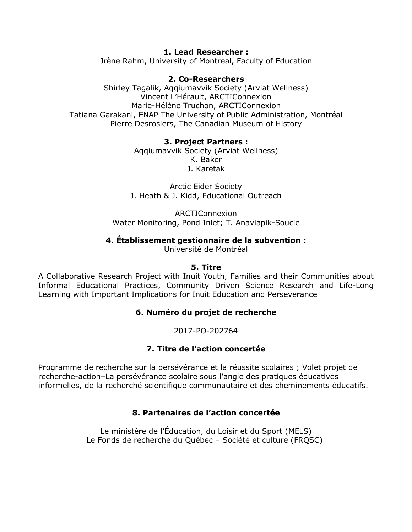**1. Lead Researcher :** Jrène Rahm, University of Montreal, Faculty of Education

### **2. Co-Researchers**

Shirley Tagalik, Aqqiumavvik Society (Arviat Wellness) Vincent L'Hérault, ARCTIConnexion Marie-Hélène Truchon, ARCTIConnexion Tatiana Garakani, ENAP The University of Public Administration, Montréal Pierre Desrosiers, The Canadian Museum of History

### **3. Project Partners :**

Aqqiumavvik Society (Arviat Wellness) K. Baker J. Karetak

Arctic Eider Society J. Heath & J. Kidd, Educational Outreach

ARCTIConnexion Water Monitoring, Pond Inlet; T. Anaviapik-Soucie

### **4. Établissement gestionnaire de la subvention :**

Université de Montréal

### **5. Titre**

A Collaborative Research Project with Inuit Youth, Families and their Communities about Informal Educational Practices, Community Driven Science Research and Life-Long Learning with Important Implications for Inuit Education and Perseverance

### **6. Numéro du projet de recherche**

2017-PO-202764

### **7. Titre de l'action concertée**

Programme de recherche sur la persévérance et la réussite scolaires ; Volet projet de recherche-action–La persévérance scolaire sous l'angle des pratiques éducatives informelles, de la recherché scientifique communautaire et des cheminements éducatifs.

### **8. Partenaires de l'action concertée**

Le ministère de l'Éducation, du Loisir et du Sport (MELS) Le Fonds de recherche du Québec – Société et culture (FRQSC)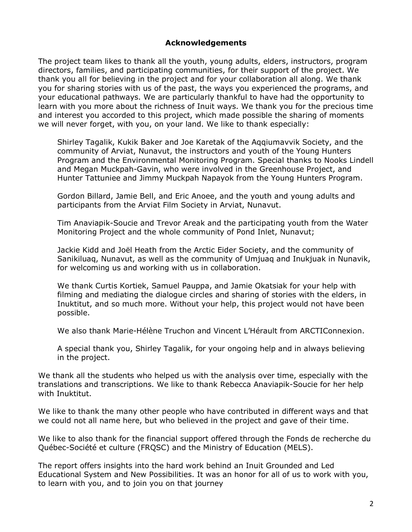### **Acknowledgements**

The project team likes to thank all the youth, young adults, elders, instructors, program directors, families, and participating communities, for their support of the project. We thank you all for believing in the project and for your collaboration all along. We thank you for sharing stories with us of the past, the ways you experienced the programs, and your educational pathways. We are particularly thankful to have had the opportunity to learn with you more about the richness of Inuit ways. We thank you for the precious time and interest you accorded to this project, which made possible the sharing of moments we will never forget, with you, on your land. We like to thank especially:

Shirley Tagalik, Kukik Baker and Joe Karetak of the Aqqiumavvik Society, and the community of Arviat, Nunavut, the instructors and youth of the Young Hunters Program and the Environmental Monitoring Program. Special thanks to Nooks Lindell and Megan Muckpah-Gavin, who were involved in the Greenhouse Project, and Hunter Tattuniee and Jimmy Muckpah Napayok from the Young Hunters Program.

Gordon Billard, Jamie Bell, and Eric Anoee, and the youth and young adults and participants from the Arviat Film Society in Arviat, Nunavut.

Tim Anaviapik-Soucie and Trevor Areak and the participating youth from the Water Monitoring Project and the whole community of Pond Inlet, Nunavut;

Jackie Kidd and Joël Heath from the Arctic Eider Society, and the community of Sanikiluaq, Nunavut, as well as the community of Umjuaq and Inukjuak in Nunavik, for welcoming us and working with us in collaboration.

We thank Curtis Kortiek, Samuel Pauppa, and Jamie Okatsiak for your help with filming and mediating the dialogue circles and sharing of stories with the elders, in Inuktitut, and so much more. Without your help, this project would not have been possible.

We also thank Marie-Hélène Truchon and Vincent L'Hérault from ARCTIConnexion.

A special thank you, Shirley Tagalik, for your ongoing help and in always believing in the project.

We thank all the students who helped us with the analysis over time, especially with the translations and transcriptions. We like to thank Rebecca Anaviapik-Soucie for her help with Inuktitut.

We like to thank the many other people who have contributed in different ways and that we could not all name here, but who believed in the project and gave of their time.

We like to also thank for the financial support offered through the Fonds de recherche du Québec-Société et culture (FRQSC) and the Ministry of Education (MELS).

The report offers insights into the hard work behind an Inuit Grounded and Led Educational System and New Possibilities. It was an honor for all of us to work with you, to learn with you, and to join you on that journey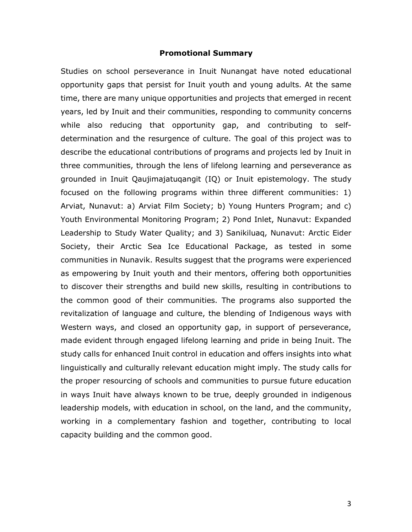#### **Promotional Summary**

Studies on school perseverance in Inuit Nunangat have noted educational opportunity gaps that persist for Inuit youth and young adults. At the same time, there are many unique opportunities and projects that emerged in recent years, led by Inuit and their communities, responding to community concerns while also reducing that opportunity gap, and contributing to selfdetermination and the resurgence of culture. The goal of this project was to describe the educational contributions of programs and projects led by Inuit in three communities, through the lens of lifelong learning and perseverance as grounded in Inuit Qaujimajatuqangit (IQ) or Inuit epistemology. The study focused on the following programs within three different communities: 1) Arviat, Nunavut: a) Arviat Film Society; b) Young Hunters Program; and c) Youth Environmental Monitoring Program; 2) Pond Inlet, Nunavut: Expanded Leadership to Study Water Quality; and 3) Sanikiluaq, Nunavut: Arctic Eider Society, their Arctic Sea Ice Educational Package, as tested in some communities in Nunavik. Results suggest that the programs were experienced as empowering by Inuit youth and their mentors, offering both opportunities to discover their strengths and build new skills, resulting in contributions to the common good of their communities. The programs also supported the revitalization of language and culture, the blending of Indigenous ways with Western ways, and closed an opportunity gap, in support of perseverance, made evident through engaged lifelong learning and pride in being Inuit. The study calls for enhanced Inuit control in education and offers insights into what linguistically and culturally relevant education might imply. The study calls for the proper resourcing of schools and communities to pursue future education in ways Inuit have always known to be true, deeply grounded in indigenous leadership models, with education in school, on the land, and the community, working in a complementary fashion and together, contributing to local capacity building and the common good.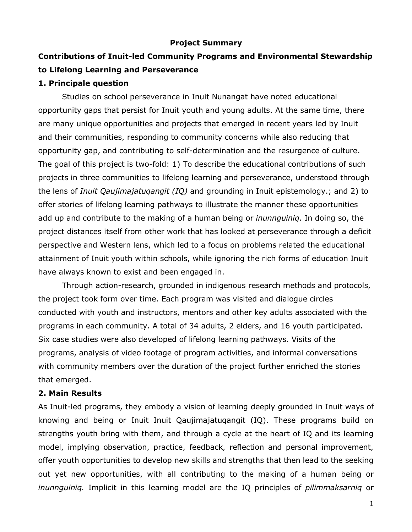### **Project Summary**

# **Contributions of Inuit-led Community Programs and Environmental Stewardship to Lifelong Learning and Perseverance**

### **1. Principale question**

Studies on school perseverance in Inuit Nunangat have noted educational opportunity gaps that persist for Inuit youth and young adults. At the same time, there are many unique opportunities and projects that emerged in recent years led by Inuit and their communities, responding to community concerns while also reducing that opportunity gap, and contributing to self-determination and the resurgence of culture. The goal of this project is two-fold: 1) To describe the educational contributions of such projects in three communities to lifelong learning and perseverance, understood through the lens of *Inuit Qaujimajatuqangit (IQ)* and grounding in Inuit epistemology.; and 2) to offer stories of lifelong learning pathways to illustrate the manner these opportunities add up and contribute to the making of a human being or *inunnguiniq*. In doing so, the project distances itself from other work that has looked at perseverance through a deficit perspective and Western lens, which led to a focus on problems related the educational attainment of Inuit youth within schools, while ignoring the rich forms of education Inuit have always known to exist and been engaged in.

Through action-research, grounded in indigenous research methods and protocols, the project took form over time. Each program was visited and dialogue circles conducted with youth and instructors, mentors and other key adults associated with the programs in each community. A total of 34 adults, 2 elders, and 16 youth participated. Six case studies were also developed of lifelong learning pathways. Visits of the programs, analysis of video footage of program activities, and informal conversations with community members over the duration of the project further enriched the stories that emerged.

### **2. Main Results**

As Inuit-led programs, they embody a vision of learning deeply grounded in Inuit ways of knowing and being or Inuit Inuit Qaujimajatuqangit (IQ). These programs build on strengths youth bring with them, and through a cycle at the heart of IQ and its learning model, implying observation, practice, feedback, reflection and personal improvement, offer youth opportunities to develop new skills and strengths that then lead to the seeking out yet new opportunities, with all contributing to the making of a human being or *inunnguiniq.* Implicit in this learning model are the IQ principles of *pilimmaksarniq* or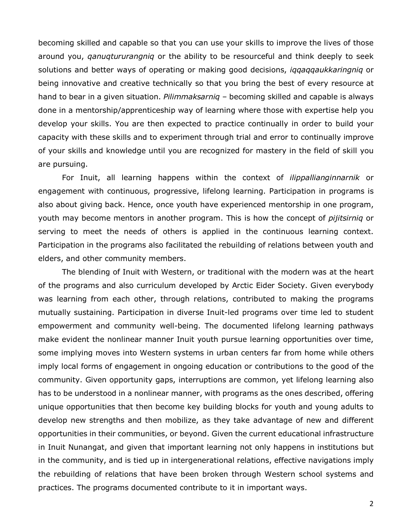becoming skilled and capable so that you can use your skills to improve the lives of those around you, *qanuqtururangniq* or the ability to be resourceful and think deeply to seek solutions and better ways of operating or making good decisions, *iqqaqqaukkaringniq* or being innovative and creative technically so that you bring the best of every resource at hand to bear in a given situation. *Pilimmaksarniq* – becoming skilled and capable is always done in a mentorship/apprenticeship way of learning where those with expertise help you develop your skills. You are then expected to practice continually in order to build your capacity with these skills and to experiment through trial and error to continually improve of your skills and knowledge until you are recognized for mastery in the field of skill you are pursuing.

For Inuit, all learning happens within the context of *ilippallianginnarnik* or engagement with continuous, progressive, lifelong learning. Participation in programs is also about giving back. Hence, once youth have experienced mentorship in one program, youth may become mentors in another program. This is how the concept of *pijitsirniq* or serving to meet the needs of others is applied in the continuous learning context. Participation in the programs also facilitated the rebuilding of relations between youth and elders, and other community members.

The blending of Inuit with Western, or traditional with the modern was at the heart of the programs and also curriculum developed by Arctic Eider Society. Given everybody was learning from each other, through relations, contributed to making the programs mutually sustaining. Participation in diverse Inuit-led programs over time led to student empowerment and community well-being. The documented lifelong learning pathways make evident the nonlinear manner Inuit youth pursue learning opportunities over time, some implying moves into Western systems in urban centers far from home while others imply local forms of engagement in ongoing education or contributions to the good of the community. Given opportunity gaps, interruptions are common, yet lifelong learning also has to be understood in a nonlinear manner, with programs as the ones described, offering unique opportunities that then become key building blocks for youth and young adults to develop new strengths and then mobilize, as they take advantage of new and different opportunities in their communities, or beyond. Given the current educational infrastructure in Inuit Nunangat, and given that important learning not only happens in institutions but in the community, and is tied up in intergenerational relations, effective navigations imply the rebuilding of relations that have been broken through Western school systems and practices. The programs documented contribute to it in important ways.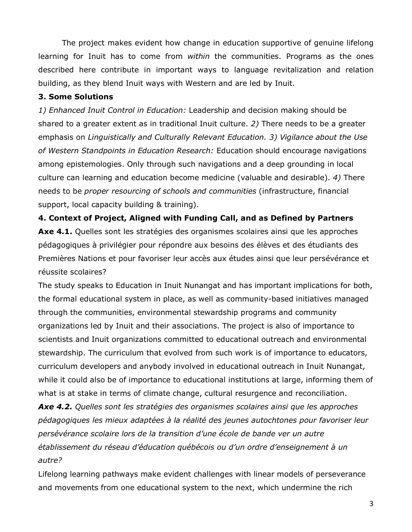The project makes evident how change in education supportive of genuine lifelong learning for Inuit has to come from *within* the communities. Programs as the ones described here contribute in important ways to language revitalization and relation building, as they blend Inuit ways with Western and are led by Inuit.

## **3. Some Solutions**

*1) Enhanced Inuit Control in Education:* Leadership and decision making should be shared to a greater extent as in traditional Inuit culture. *2)* There needs to be a greater emphasis on *Linguistically and Culturally Relevant Education. 3) Vigilance about the Use of Western Standpoints in Education Research:* Education should encourage navigations among epistemologies. Only through such navigations and a deep grounding in local culture can learning and education become medicine (valuable and desirable). *4)* There needs to be *proper resourcing of schools and communities* (infrastructure, financial support, local capacity building & training).

**4. Context of Project, Aligned with Funding Call, and as Defined by Partners** Axe 4.1. Quelles sont les stratégies des organismes scolaires ainsi que les approches pédagogiques à privilégier pour répondre aux besoins des élèves et des étudiants des Premières Nations et pour favoriser leur accès aux études ainsi que leur persévérance et réussite scolaires?

The study speaks to Education in Inuit Nunangat and has important implications for both, the formal educational system in place, as well as community-based initiatives managed through the communities, environmental stewardship programs and community organizations led by Inuit and their associations. The project is also of importance to scientists and Inuit organizations committed to educational outreach and environmental stewardship. The curriculum that evolved from such work is of importance to educators, curriculum developers and anybody involved in educational outreach in Inuit Nunangat, while it could also be of importance to educational institutions at large, informing them of what is at stake in terms of climate change, cultural resurgence and reconciliation.

*Axe 4.2. Quelles sont les stratégies des organismes scolaires ainsi que les approches pédagogiques les mieux adaptées à la réalité des jeunes autochtones pour favoriser leur persévérance scolaire lors de la transition d'une école de bande ver un autre établissement du réseau d'éducation québécois ou d'un ordre d'enseignement à un autre?*

Lifelong learning pathways make evident challenges with linear models of perseverance and movements from one educational system to the next, which undermine the rich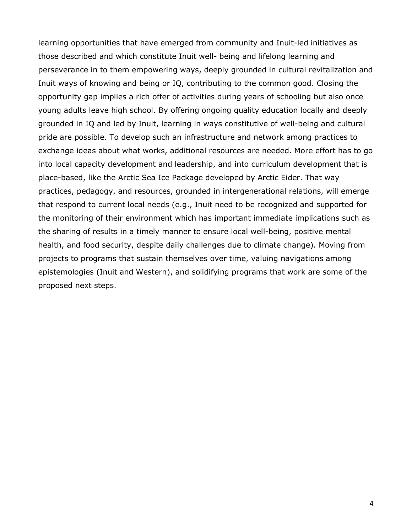learning opportunities that have emerged from community and Inuit-led initiatives as those described and which constitute Inuit well- being and lifelong learning and perseverance in to them empowering ways, deeply grounded in cultural revitalization and Inuit ways of knowing and being or IQ, contributing to the common good. Closing the opportunity gap implies a rich offer of activities during years of schooling but also once young adults leave high school. By offering ongoing quality education locally and deeply grounded in IQ and led by Inuit, learning in ways constitutive of well-being and cultural pride are possible. To develop such an infrastructure and network among practices to exchange ideas about what works, additional resources are needed. More effort has to go into local capacity development and leadership, and into curriculum development that is place-based, like the Arctic Sea Ice Package developed by Arctic Eider. That way practices, pedagogy, and resources, grounded in intergenerational relations, will emerge that respond to current local needs (e.g., Inuit need to be recognized and supported for the monitoring of their environment which has important immediate implications such as the sharing of results in a timely manner to ensure local well-being, positive mental health, and food security, despite daily challenges due to climate change). Moving from projects to programs that sustain themselves over time, valuing navigations among epistemologies (Inuit and Western), and solidifying programs that work are some of the proposed next steps.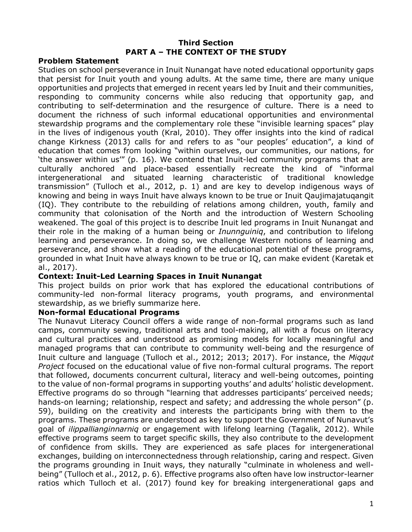### **Third Section PART A – THE CONTEXT OF THE STUDY**

### **Problem Statement**

Studies on school perseverance in Inuit Nunangat have noted educational opportunity gaps that persist for Inuit youth and young adults. At the same time, there are many unique opportunities and projects that emerged in recent years led by Inuit and their communities, responding to community concerns while also reducing that opportunity gap, and contributing to self-determination and the resurgence of culture. There is a need to document the richness of such informal educational opportunities and environmental stewardship programs and the complementary role these "invisible learning spaces" play in the lives of indigenous youth (Kral, 2010). They offer insights into the kind of radical change Kirkness (2013) calls for and refers to as "our peoples' education", a kind of education that comes from looking "within ourselves, our communities, our nations, for 'the answer within us'" (p. 16). We contend that Inuit-led community programs that are culturally anchored and place-based essentially recreate the kind of "informal intergenerational and situated learning characteristic of traditional knowledge transmission" (Tulloch et al., 2012, p. 1) and are key to develop indigenous ways of knowing and being in ways Inuit have always known to be true or Inuit Qaujimajatuqangit (IQ). They contribute to the rebuilding of relations among children, youth, family and community that colonisation of the North and the introduction of Western Schooling weakened. The goal of this project is to describe Inuit led programs in Inuit Nunangat and their role in the making of a human being or *Inunnguiniq*, and contribution to lifelong learning and perseverance. In doing so, we challenge Western notions of learning and perseverance, and show what a reading of the educational potential of these programs, grounded in what Inuit have always known to be true or IQ, can make evident (Karetak et al., 2017).

### **Context: Inuit-Led Learning Spaces in Inuit Nunangat**

This project builds on prior work that has explored the educational contributions of community-led non-formal literacy programs, youth programs, and environmental stewardship, as we briefly summarize here.

### **Non-formal Educational Programs**

The Nunavut Literacy Council offers a wide range of non-formal programs such as land camps, community sewing, traditional arts and tool-making, all with a focus on literacy and cultural practices and understood as promising models for locally meaningful and managed programs that can contribute to community well-being and the resurgence of Inuit culture and language (Tulloch et al., 2012; 2013; 2017). For instance, the *Miqqut Project* focused on the educational value of five non-formal cultural programs. The report that followed, documents concurrent cultural, literacy and well-being outcomes, pointing to the value of non-formal programs in supporting youths' and adults' holistic development. Effective programs do so through "learning that addresses participants' perceived needs; hands-on learning; relationship, respect and safety; and addressing the whole person" (p. 59), building on the creativity and interests the participants bring with them to the programs. These programs are understood as key to support the Government of Nunavut's goal of *ilippallianginnarniq* or engagement with lifelong learning (Tagalik, 2012). While effective programs seem to target specific skills, they also contribute to the development of confidence from skills. They are experienced as safe places for intergenerational exchanges, building on interconnectedness through relationship, caring and respect. Given the programs grounding in Inuit ways, they naturally "culminate in wholeness and wellbeing" (Tulloch et al., 2012, p. 6). Effective programs also often have low instructor-learner ratios which Tulloch et al. (2017) found key for breaking intergenerational gaps and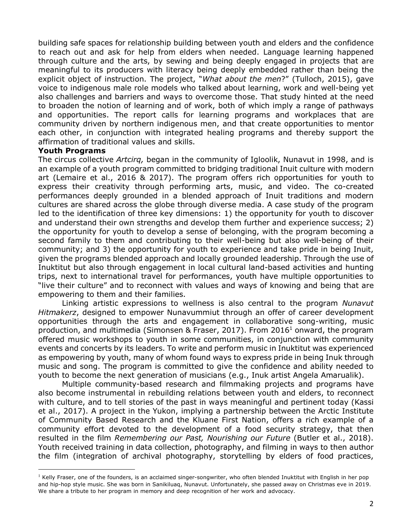building safe spaces for relationship building between youth and elders and the confidence to reach out and ask for help from elders when needed. Language learning happened through culture and the arts, by sewing and being deeply engaged in projects that are meaningful to its producers with literacy being deeply embedded rather than being the explicit object of instruction. The project, "*What about the men*?" (Tulloch, 2015), gave voice to indigenous male role models who talked about learning, work and well-being yet also challenges and barriers and ways to overcome those. That study hinted at the need to broaden the notion of learning and of work, both of which imply a range of pathways and opportunities. The report calls for learning programs and workplaces that are community driven by northern indigenous men, and that create opportunities to mentor each other, in conjunction with integrated healing programs and thereby support the affirmation of traditional values and skills.

#### **Youth Programs**

 $\overline{a}$ 

The circus collective *Artcirq,* began in the community of Igloolik, Nunavut in 1998, and is an example of a youth program committed to bridging traditional Inuit culture with modern art (Lemaire et al., 2016 & 2017). The program offers rich opportunities for youth to express their creativity through performing arts, music, and video. The co-created performances deeply grounded in a blended approach of Inuit traditions and modern cultures are shared across the globe through diverse media. A case study of the program led to the identification of three key dimensions: 1) the opportunity for youth to discover and understand their own strengths and develop them further and experience success; 2) the opportunity for youth to develop a sense of belonging, with the program becoming a second family to them and contributing to their well-being but also well-being of their community; and 3) the opportunity for youth to experience and take pride in being Inuit, given the programs blended approach and locally grounded leadership. Through the use of Inuktitut but also through engagement in local cultural land-based activities and hunting trips, next to international travel for performances, youth have multiple opportunities to "live their culture" and to reconnect with values and ways of knowing and being that are empowering to them and their families.

Linking artistic expressions to wellness is also central to the program *Nunavut Hitmakerz*, designed to empower Nunavummiut through an offer of career development opportunities through the arts and engagement in collaborative song-writing, music production, and multimedia (Simonsen & Fraser, 2017). From 20161 onward, the program offered music workshops to youth in some communities, in conjunction with community events and concerts by its leaders. To write and perform music in Inuktitut was experienced as empowering by youth, many of whom found ways to express pride in being Inuk through music and song. The program is committed to give the confidence and ability needed to youth to become the next generation of musicians (e.g., Inuk artist Angela Amarualik).

Multiple community-based research and filmmaking projects and programs have also become instrumental in rebuilding relations between youth and elders, to reconnect with culture, and to tell stories of the past in ways meaningful and pertinent today (Kassi et al., 2017). A project in the Yukon, implying a partnership between the Arctic Institute of Community Based Research and the Kluane First Nation, offers a rich example of a community effort devoted to the development of a food security strategy, that then resulted in the film *Remembering our Past, Nourishing our Future* (Butler et al., 2018). Youth received training in data collection, photography, and filming in ways to then author the film (integration of archival photography, storytelling by elders of food practices,

 $<sup>1</sup>$  Kelly Fraser, one of the founders, is an acclaimed singer-songwriter, who often blended Inuktitut with English in her pop</sup> and hip-hop style music. She was born in Sanikiluaq, Nunavut. Unfortunately, she passed away on Christmas eve in 2019. We share a tribute to her program in memory and deep recognition of her work and advocacy.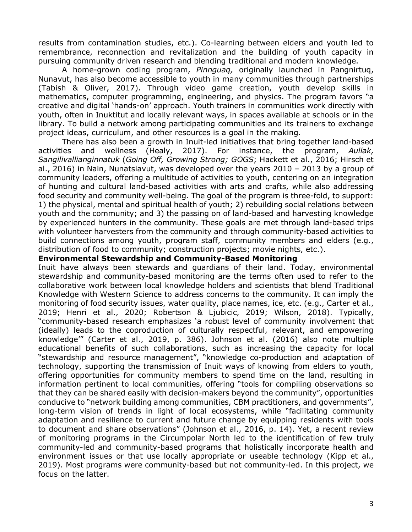results from contamination studies, etc.). Co-learning between elders and youth led to remembrance, reconnection and revitalization and the building of youth capacity in pursuing community driven research and blending traditional and modern knowledge.

A home-grown coding program, *Pinnguaq,* originally launched in Pangnirtuq, Nunavut, has also become accessible to youth in many communities through partnerships (Tabish & Oliver, 2017). Through video game creation, youth develop skills in mathematics, computer programming, engineering, and physics. The program favors "a creative and digital 'hands-on' approach. Youth trainers in communities work directly with youth, often in Inuktitut and locally relevant ways, in spaces available at schools or in the library. To build a network among participating communities and its trainers to exchange project ideas, curriculum, and other resources is a goal in the making.

There has also been a growth in Inuit-led initiatives that bring together land-based activities and wellness (Healy, 2017). For instance, the program, *Aullak, Sangilivallianginnatuk* (*Going Off, Growing Strong; GOGS*; Hackett et al., 2016; Hirsch et al., 2016) in Nain, Nunatsiavut, was developed over the years 2010 – 2013 by a group of community leaders, offering a multitude of activities to youth, centering on an integration of hunting and cultural land-based activities with arts and crafts, while also addressing food security and community well-being. The goal of the program is three-fold, to support: 1) the physical, mental and spiritual health of youth; 2) rebuilding social relations between youth and the community; and 3) the passing on of land-based and harvesting knowledge by experienced hunters in the community. These goals are met through land-based trips with volunteer harvesters from the community and through community-based activities to build connections among youth, program staff, community members and elders (e.g., distribution of food to community; construction projects; movie nights, etc.).

### **Environmental Stewardship and Community-Based Monitoring**

Inuit have always been stewards and guardians of their land. Today, environmental stewardship and community-based monitoring are the terms often used to refer to the collaborative work between local knowledge holders and scientists that blend Traditional Knowledge with Western Science to address concerns to the community. It can imply the monitoring of food security issues, water quality, place names, ice, etc. (e.g., Carter et al., 2019; Henri et al., 2020; Robertson & Ljubicic, 2019; Wilson, 2018). Typically, "community-based research emphasizes 'a robust level of community involvement that (ideally) leads to the coproduction of culturally respectful, relevant, and empowering knowledge'" (Carter et al., 2019, p. 386). Johnson et al. (2016) also note multiple educational benefits of such collaborations, such as increasing the capacity for local "stewardship and resource management", "knowledge co-production and adaptation of technology, supporting the transmission of Inuit ways of knowing from elders to youth, offering opportunities for community members to spend time on the land, resulting in information pertinent to local communities, offering "tools for compiling observations so that they can be shared easily with decision-makers beyond the community", opportunities conducive to "network building among communities, CBM practitioners, and governments", long-term vision of trends in light of local ecosystems, while "facilitating community adaptation and resilience to current and future change by equipping residents with tools to document and share observations" (Johnson et al., 2016, p. 14). Yet, a recent review of monitoring programs in the Circumpolar North led to the identification of few truly community-led and community-based programs that holistically incorporate health and environment issues or that use locally appropriate or useable technology (Kipp et al., 2019). Most programs were community-based but not community-led. In this project, we focus on the latter.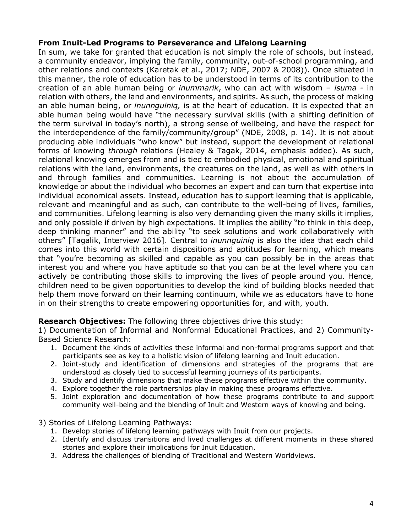### **From Inuit-Led Programs to Perseverance and Lifelong Learning**

In sum, we take for granted that education is not simply the role of schools, but instead, a community endeavor, implying the family, community, out-of-school programming, and other relations and contexts (Karetak et al., 2017; NDE, 2007 & 2008)). Once situated in this manner, the role of education has to be understood in terms of its contribution to the creation of an able human being or *inummarik*, who can act with wisdom – *isuma -* in relation with others, the land and environments, and spirits. As such, the process of making an able human being, or *inunnguiniq,* is at the heart of education. It is expected that an able human being would have "the necessary survival skills (with a shifting definition of the term survival in today's north), a strong sense of wellbeing, and have the respect for the interdependence of the family/community/group" (NDE, 2008, p. 14). It is not about producing able individuals "who know" but instead, support the development of relational forms of knowing *through* relations (Healey & Tagak, 2014, emphasis added). As such, relational knowing emerges from and is tied to embodied physical, emotional and spiritual relations with the land, environments, the creatures on the land, as well as with others in and through families and communities. Learning is not about the accumulation of knowledge or about the individual who becomes an expert and can turn that expertise into individual economical assets. Instead, education has to support learning that is applicable, relevant and meaningful and as such, can contribute to the well-being of lives, families, and communities. Lifelong learning is also very demanding given the many skills it implies, and only possible if driven by high expectations. It implies the ability "to think in this deep, deep thinking manner" and the ability "to seek solutions and work collaboratively with others" [Tagalik, Interview 2016]. Central to *inunnguiniq* is also the idea that each child comes into this world with certain dispositions and aptitudes for learning, which means that "you're becoming as skilled and capable as you can possibly be in the areas that interest you and where you have aptitude so that you can be at the level where you can actively be contributing those skills to improving the lives of people around you. Hence, children need to be given opportunities to develop the kind of building blocks needed that help them move forward on their learning continuum, while we as educators have to hone in on their strengths to create empowering opportunities for, and with, youth.

**Research Objectives:** The following three objectives drive this study:

1) Documentation of Informal and Nonformal Educational Practices, and 2) Community-Based Science Research:

- 1. Document the kinds of activities these informal and non-formal programs support and that participants see as key to a holistic vision of lifelong learning and Inuit education.
- 2. Joint-study and identification of dimensions and strategies of the programs that are understood as closely tied to successful learning journeys of its participants.
- 3. Study and identify dimensions that make these programs effective within the community.
- 4. Explore together the role partnerships play in making these programs effective.
- 5. Joint exploration and documentation of how these programs contribute to and support community well-being and the blending of Inuit and Western ways of knowing and being.

3) Stories of Lifelong Learning Pathways:

- 1. Develop stories of lifelong learning pathways with Inuit from our projects.
- 2. Identify and discuss transitions and lived challenges at different moments in these shared stories and explore their implications for Inuit Education.
- 3. Address the challenges of blending of Traditional and Western Worldviews.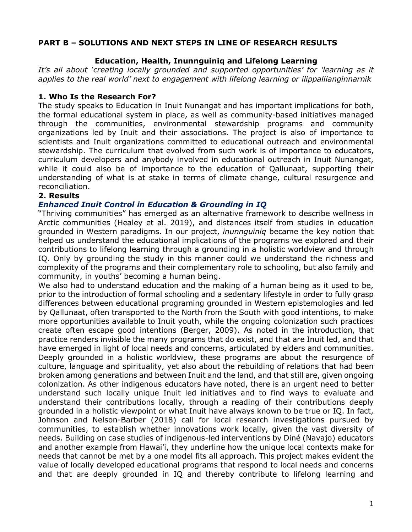### **PART B – SOLUTIONS AND NEXT STEPS IN LINE OF RESEARCH RESULTS**

### **Education, Health, Inunnguiniq and Lifelong Learning**

*It's all about 'creating locally grounded and supported opportunities' for 'learning as it applies to the real world' next to engagement with lifelong learning or ilippallianginnarnik*

## **1. Who Is the Research For?**

The study speaks to Education in Inuit Nunangat and has important implications for both, the formal educational system in place, as well as community-based initiatives managed through the communities, environmental stewardship programs and community organizations led by Inuit and their associations. The project is also of importance to scientists and Inuit organizations committed to educational outreach and environmental stewardship. The curriculum that evolved from such work is of importance to educators, curriculum developers and anybody involved in educational outreach in Inuit Nunangat, while it could also be of importance to the education of Qallunaat, supporting their understanding of what is at stake in terms of climate change, cultural resurgence and reconciliation.

### **2. Results**

### *Enhanced Inuit Control in Education & Grounding in IQ*

"Thriving communities" has emerged as an alternative framework to describe wellness in Arctic communities (Healey et al. 2019), and distances itself from studies in education grounded in Western paradigms. In our project, *inunnguiniq* became the key notion that helped us understand the educational implications of the programs we explored and their contributions to lifelong learning through a grounding in a holistic worldview and through IQ. Only by grounding the study in this manner could we understand the richness and complexity of the programs and their complementary role to schooling, but also family and community, in youths' becoming a human being.

We also had to understand education and the making of a human being as it used to be, prior to the introduction of formal schooling and a sedentary lifestyle in order to fully grasp differences between educational programing grounded in Western epistemologies and led by Qallunaat, often transported to the North from the South with good intentions, to make more opportunities available to Inuit youth, while the ongoing colonization such practices create often escape good intentions (Berger, 2009). As noted in the introduction, that practice renders invisible the many programs that do exist, and that are Inuit led, and that have emerged in light of local needs and concerns, articulated by elders and communities. Deeply grounded in a holistic worldview, these programs are about the resurgence of culture, language and spirituality, yet also about the rebuilding of relations that had been broken among generations and between Inuit and the land, and that still are, given ongoing colonization. As other indigenous educators have noted, there is an urgent need to better understand such locally unique Inuit led initiatives and to find ways to evaluate and understand their contributions locally, through a reading of their contributions deeply grounded in a holistic viewpoint or what Inuit have always known to be true or IQ. In fact, Johnson and Nelson-Barber (2018) call for local research investigations pursued by communities, to establish whether innovations work locally, given the vast diversity of needs. Building on case studies of indigenous-led interventions by Diné (Navajo) educators and another example from Hawai'i, they underline how the unique local contexts make for needs that cannot be met by a one model fits all approach. This project makes evident the value of locally developed educational programs that respond to local needs and concerns and that are deeply grounded in IQ and thereby contribute to lifelong learning and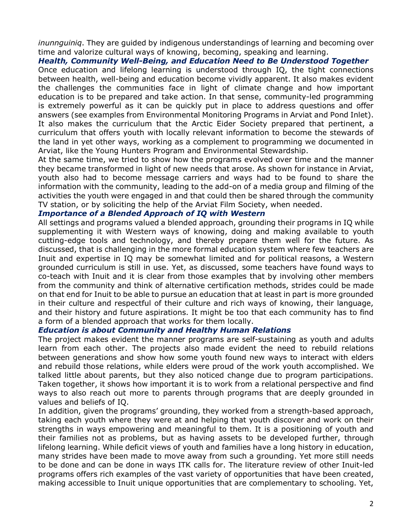*inunnguiniq*. They are guided by indigenous understandings of learning and becoming over time and valorize cultural ways of knowing, becoming, speaking and learning.

*Health, Community Well-Being, and Education Need to Be Understood Together* Once education and lifelong learning is understood through IQ, the tight connections between health, well-being and education become vividly apparent. It also makes evident the challenges the communities face in light of climate change and how important education is to be prepared and take action. In that sense, community-led programming is extremely powerful as it can be quickly put in place to address questions and offer answers (see examples from Environmental Monitoring Programs in Arviat and Pond Inlet). It also makes the curriculum that the Arctic Eider Society prepared that pertinent, a curriculum that offers youth with locally relevant information to become the stewards of the land in yet other ways, working as a complement to programming we documented in Arviat, like the Young Hunters Program and Environmental Stewardship.

At the same time, we tried to show how the programs evolved over time and the manner they became transformed in light of new needs that arose. As shown for instance in Arviat, youth also had to become message carriers and ways had to be found to share the information with the community, leading to the add-on of a media group and filming of the activities the youth were engaged in and that could then be shared through the community TV station, or by soliciting the help of the Arviat Film Society, when needed.

### *Importance of a Blended Approach of IQ with Western*

All settings and programs valued a blended approach, grounding their programs in IQ while supplementing it with Western ways of knowing, doing and making available to youth cutting-edge tools and technology, and thereby prepare them well for the future. As discussed, that is challenging in the more formal education system where few teachers are Inuit and expertise in IQ may be somewhat limited and for political reasons, a Western grounded curriculum is still in use. Yet, as discussed, some teachers have found ways to co-teach with Inuit and it is clear from those examples that by involving other members from the community and think of alternative certification methods, strides could be made on that end for Inuit to be able to pursue an education that at least in part is more grounded in their culture and respectful of their culture and rich ways of knowing, their language, and their history and future aspirations. It might be too that each community has to find a form of a blended approach that works for them locally.

#### *Education is about Community and Healthy Human Relations*

The project makes evident the manner programs are self-sustaining as youth and adults learn from each other. The projects also made evident the need to rebuild relations between generations and show how some youth found new ways to interact with elders and rebuild those relations, while elders were proud of the work youth accomplished. We talked little about parents, but they also noticed change due to program participations. Taken together, it shows how important it is to work from a relational perspective and find ways to also reach out more to parents through programs that are deeply grounded in values and beliefs of IQ.

In addition, given the programs' grounding, they worked from a strength-based approach, taking each youth where they were at and helping that youth discover and work on their strengths in ways empowering and meaningful to them. It is a positioning of youth and their families not as problems, but as having assets to be developed further, through lifelong learning. While deficit views of youth and families have a long history in education, many strides have been made to move away from such a grounding. Yet more still needs to be done and can be done in ways ITK calls for. The literature review of other Inuit-led programs offers rich examples of the vast variety of opportunities that have been created, making accessible to Inuit unique opportunities that are complementary to schooling. Yet,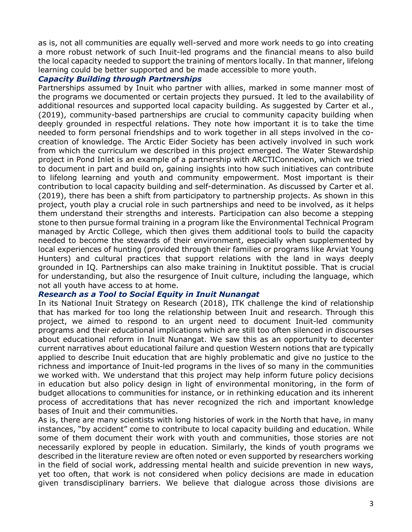as is, not all communities are equally well-served and more work needs to go into creating a more robust network of such Inuit-led programs and the financial means to also build the local capacity needed to support the training of mentors locally. In that manner, lifelong learning could be better supported and be made accessible to more youth.

### *Capacity Building through Partnerships*

Partnerships assumed by Inuit who partner with allies, marked in some manner most of the programs we documented or certain projects they pursued. It led to the availability of additional resources and supported local capacity building. As suggested by Carter et al., (2019), community-based partnerships are crucial to community capacity building when deeply grounded in respectful relations. They note how important it is to take the time needed to form personal friendships and to work together in all steps involved in the cocreation of knowledge. The Arctic Eider Society has been actively involved in such work from which the curriculum we described in this project emerged. The Water Stewardship project in Pond Inlet is an example of a partnership with ARCTIConnexion, which we tried to document in part and build on, gaining insights into how such initiatives can contribute to lifelong learning and youth and community empowerment. Most important is their contribution to local capacity building and self-determination. As discussed by Carter et al. (2019), there has been a shift from participatory to partnership projects. As shown in this project, youth play a crucial role in such partnerships and need to be involved, as it helps them understand their strengths and interests. Participation can also become a stepping stone to then pursue formal training in a program like the Environmental Technical Program managed by Arctic College, which then gives them additional tools to build the capacity needed to become the stewards of their environment, especially when supplemented by local experiences of hunting (provided through their families or programs like Arviat Young Hunters) and cultural practices that support relations with the land in ways deeply grounded in IQ. Partnerships can also make training in Inuktitut possible. That is crucial for understanding, but also the resurgence of Inuit culture, including the language, which not all youth have access to at home.

### *Research as a Tool to Social Equity in Inuit Nunangat*

In its National Inuit Strategy on Research (2018), ITK challenge the kind of relationship that has marked for too long the relationship between Inuit and research. Through this project, we aimed to respond to an urgent need to document Inuit-led community programs and their educational implications which are still too often silenced in discourses about educational reform in Inuit Nunangat. We saw this as an opportunity to decenter current narratives about educational failure and question Western notions that are typically applied to describe Inuit education that are highly problematic and give no justice to the richness and importance of Inuit-led programs in the lives of so many in the communities we worked with. We understand that this project may help inform future policy decisions in education but also policy design in light of environmental monitoring, in the form of budget allocations to communities for instance, or in rethinking education and its inherent process of accreditations that has never recognized the rich and important knowledge bases of Inuit and their communities.

As is, there are many scientists with long histories of work in the North that have, in many instances, "by accident" come to contribute to local capacity building and education. While some of them document their work with youth and communities, those stories are not necessarily explored by people in education. Similarly, the kinds of youth programs we described in the literature review are often noted or even supported by researchers working in the field of social work, addressing mental health and suicide prevention in new ways, yet too often, that work is not considered when policy decisions are made in education given transdisciplinary barriers. We believe that dialogue across those divisions are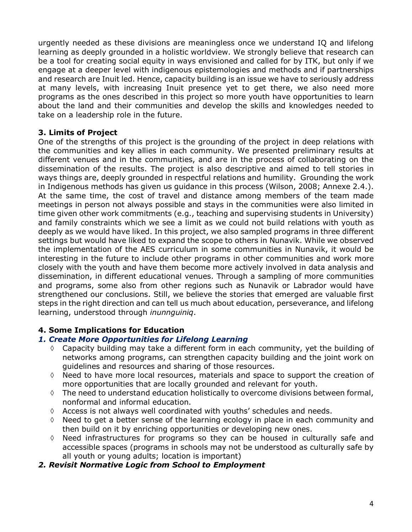urgently needed as these divisions are meaningless once we understand IQ and lifelong learning as deeply grounded in a holistic worldview. We strongly believe that research can be a tool for creating social equity in ways envisioned and called for by ITK, but only if we engage at a deeper level with indigenous epistemologies and methods and if partnerships and research are Inuit led. Hence, capacity building is an issue we have to seriously address at many levels, with increasing Inuit presence yet to get there, we also need more programs as the ones described in this project so more youth have opportunities to learn about the land and their communities and develop the skills and knowledges needed to take on a leadership role in the future.

# **3. Limits of Project**

One of the strengths of this project is the grounding of the project in deep relations with the communities and key allies in each community. We presented preliminary results at different venues and in the communities, and are in the process of collaborating on the dissemination of the results. The project is also descriptive and aimed to tell stories in ways things are, deeply grounded in respectful relations and humility. Grounding the work in Indigenous methods has given us guidance in this process (Wilson, 2008; Annexe 2.4.). At the same time, the cost of travel and distance among members of the team made meetings in person not always possible and stays in the communities were also limited in time given other work commitments (e.g., teaching and supervising students in University) and family constraints which we see a limit as we could not build relations with youth as deeply as we would have liked. In this project, we also sampled programs in three different settings but would have liked to expand the scope to others in Nunavik. While we observed the implementation of the AES curriculum in some communities in Nunavik, it would be interesting in the future to include other programs in other communities and work more closely with the youth and have them become more actively involved in data analysis and dissemination, in different educational venues. Through a sampling of more communities and programs, some also from other regions such as Nunavik or Labrador would have strengthened our conclusions. Still, we believe the stories that emerged are valuable first steps in the right direction and can tell us much about education, perseverance, and lifelong learning, understood through *inunnguiniq*.

# **4. Some Implications for Education**

# *1. Create More Opportunities for Lifelong Learning*

- à Capacity building may take a different form in each community, yet the building of networks among programs, can strengthen capacity building and the joint work on guidelines and resources and sharing of those resources.
- $\diamond$  Need to have more local resources, materials and space to support the creation of more opportunities that are locally grounded and relevant for youth.
- $\Diamond$  The need to understand education holistically to overcome divisions between formal, nonformal and informal education.
- $\Diamond$  Access is not always well coordinated with youths' schedules and needs.
- $\Diamond$  Need to get a better sense of the learning ecology in place in each community and then build on it by enriching opportunities or developing new ones.
- $\Diamond$  Need infrastructures for programs so they can be housed in culturally safe and accessible spaces (programs in schools may not be understood as culturally safe by all youth or young adults; location is important)

# *2. Revisit Normative Logic from School to Employment*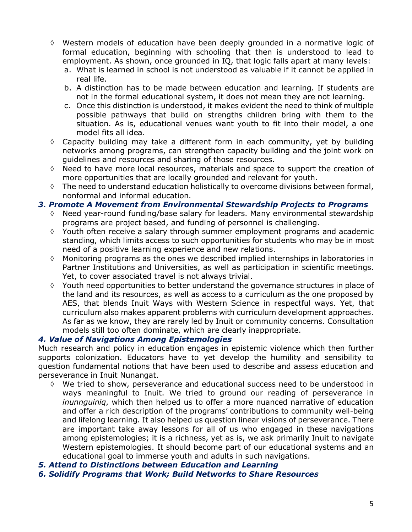- à Western models of education have been deeply grounded in a normative logic of formal education, beginning with schooling that then is understood to lead to employment. As shown, once grounded in IQ, that logic falls apart at many levels:
	- a. What is learned in school is not understood as valuable if it cannot be applied in real life.
	- b. A distinction has to be made between education and learning. If students are not in the formal educational system, it does not mean they are not learning.
	- c. Once this distinction is understood, it makes evident the need to think of multiple possible pathways that build on strengths children bring with them to the situation. As is, educational venues want youth to fit into their model, a one model fits all idea.
- $\Diamond$  Capacity building may take a different form in each community, yet by building networks among programs, can strengthen capacity building and the joint work on guidelines and resources and sharing of those resources.
- Need to have more local resources, materials and space to support the creation of more opportunities that are locally grounded and relevant for youth.
- $\Diamond$  The need to understand education holistically to overcome divisions between formal, nonformal and informal education.

### *3. Promote A Movement from Environmental Stewardship Projects to Programs*

- à Need year-round funding/base salary for leaders. Many environmental stewardship programs are project based, and funding of personnel is challenging.
- $\Diamond$  Youth often receive a salary through summer employment programs and academic standing, which limits access to such opportunities for students who may be in most need of a positive learning experience and new relations.
- $\diamond$  Monitoring programs as the ones we described implied internships in laboratories in Partner Institutions and Universities, as well as participation in scientific meetings. Yet, to cover associated travel is not always trivial.
- à Youth need opportunities to better understand the governance structures in place of the land and its resources, as well as access to a curriculum as the one proposed by AES, that blends Inuit Ways with Western Science in respectful ways. Yet, that curriculum also makes apparent problems with curriculum development approaches. As far as we know, they are rarely led by Inuit or community concerns. Consultation models still too often dominate, which are clearly inappropriate.

### *4. Value of Navigations Among Epistemologies*

Much research and policy in education engages in epistemic violence which then further supports colonization. Educators have to yet develop the humility and sensibility to question fundamental notions that have been used to describe and assess education and perseverance in Inuit Nunangat.

- à We tried to show, perseverance and educational success need to be understood in ways meaningful to Inuit. We tried to ground our reading of perseverance in *inunnguiniq*, which then helped us to offer a more nuanced narrative of education and offer a rich description of the programs' contributions to community well-being and lifelong learning. It also helped us question linear visions of perseverance. There are important take away lessons for all of us who engaged in these navigations among epistemologies; it is a richness, yet as is, we ask primarily Inuit to navigate Western epistemologies. It should become part of our educational systems and an educational goal to immerse youth and adults in such navigations.
- *5. Attend to Distinctions between Education and Learning*
- *6. Solidify Programs that Work; Build Networks to Share Resources*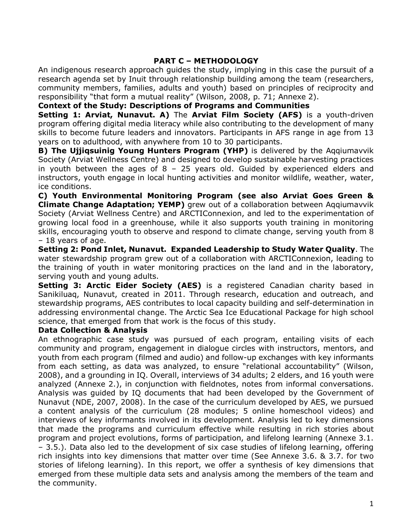### **PART C – METHODOLOGY**

An indigenous research approach guides the study, implying in this case the pursuit of a research agenda set by Inuit through relationship building among the team (researchers, community members, families, adults and youth) based on principles of reciprocity and responsibility "that form a mutual reality" (Wilson, 2008, p. 71; Annexe 2).

**Context of the Study: Descriptions of Programs and Communities**

**Setting 1: Arviat, Nunavut. A)** The **Arviat Film Society (AFS)** is a youth-driven program offering digital media literacy while also contributing to the development of many skills to become future leaders and innovators. Participants in AFS range in age from 13 years on to adulthood, with anywhere from 10 to 30 participants.

**B) The Ujjiqsuinig Young Hunters Program (YHP)** is delivered by the Aqqiumavvik Society (Arviat Wellness Centre) and designed to develop sustainable harvesting practices in youth between the ages of 8 – 25 years old. Guided by experienced elders and instructors, youth engage in local hunting activities and monitor wildlife, weather, water, ice conditions.

**C) Youth Environmental Monitoring Program (see also Arviat Goes Green & Climate Change Adaptation; YEMP)** grew out of a collaboration between Aqqiumavvik Society (Arviat Wellness Centre) and ARCTIConnexion, and led to the experimentation of growing local food in a greenhouse, while it also supports youth training in monitoring skills, encouraging youth to observe and respond to climate change, serving youth from 8 – 18 years of age.

**Setting 2: Pond Inlet, Nunavut. Expanded Leadership to Study Water Quality**. The water stewardship program grew out of a collaboration with ARCTIConnexion, leading to the training of youth in water monitoring practices on the land and in the laboratory, serving youth and young adults.

**Setting 3: Arctic Eider Society (AES)** is a registered Canadian charity based in Sanikiluaq, Nunavut, created in 2011. Through research, education and outreach, and stewardship programs, AES contributes to local capacity building and self-determination in addressing environmental change. The Arctic Sea Ice Educational Package for high school science, that emerged from that work is the focus of this study.

### **Data Collection & Analysis**

An ethnographic case study was pursued of each program, entailing visits of each community and program, engagement in dialogue circles with instructors, mentors, and youth from each program (filmed and audio) and follow-up exchanges with key informants from each setting, as data was analyzed, to ensure "relational accountability" (Wilson, 2008), and a grounding in IQ. Overall, interviews of 34 adults; 2 elders, and 16 youth were analyzed (Annexe 2.), in conjunction with fieldnotes, notes from informal conversations. Analysis was guided by IQ documents that had been developed by the Government of Nunavut (NDE, 2007, 2008). In the case of the curriculum developed by AES, we pursued a content analysis of the curriculum (28 modules; 5 online homeschool videos) and interviews of key informants involved in its development. Analysis led to key dimensions that made the programs and curriculum effective while resulting in rich stories about program and project evolutions, forms of participation, and lifelong learning (Annexe 3.1. – 3.5.). Data also led to the development of six case studies of lifelong learning, offering rich insights into key dimensions that matter over time (See Annexe 3.6. & 3.7. for two stories of lifelong learning). In this report, we offer a synthesis of key dimensions that emerged from these multiple data sets and analysis among the members of the team and the community.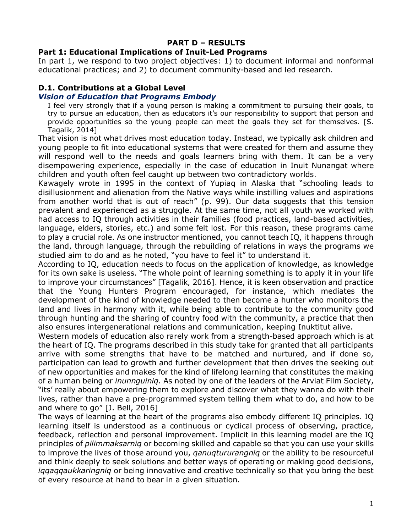### **PART D – RESULTS**

### **Part 1: Educational Implications of Inuit-Led Programs**

In part 1, we respond to two project objectives: 1) to document informal and nonformal educational practices; and 2) to document community-based and led research.

#### **D.1. Contributions at a Global Level** *Vision of Education that Programs Embody*

I feel very strongly that if a young person is making a commitment to pursuing their goals, to try to pursue an education, then as educators it's our responsibility to support that person and provide opportunities so the young people can meet the goals they set for themselves. [S. Tagalik, 2014]

That vision is not what drives most education today. Instead, we typically ask children and young people to fit into educational systems that were created for them and assume they will respond well to the needs and goals learners bring with them. It can be a very disempowering experience, especially in the case of education in Inuit Nunangat where children and youth often feel caught up between two contradictory worlds.

Kawagely wrote in 1995 in the context of Yupiaq in Alaska that "schooling leads to disillusionment and alienation from the Native ways while instilling values and aspirations from another world that is out of reach" (p. 99). Our data suggests that this tension prevalent and experienced as a struggle. At the same time, not all youth we worked with had access to IQ through activities in their families (food practices, land-based activities, language, elders, stories, etc.) and some felt lost. For this reason, these programs came to play a crucial role. As one instructor mentioned, you cannot teach IQ, it happens through the land, through language, through the rebuilding of relations in ways the programs we studied aim to do and as he noted, "you have to feel it" to understand it.

According to IQ, education needs to focus on the application of knowledge, as knowledge for its own sake is useless. "The whole point of learning something is to apply it in your life to improve your circumstances" [Tagalik, 2016]. Hence, it is keen observation and practice that the Young Hunters Program encouraged, for instance, which mediates the development of the kind of knowledge needed to then become a hunter who monitors the land and lives in harmony with it, while being able to contribute to the community good through hunting and the sharing of country food with the community, a practice that then also ensures intergenerational relations and communication, keeping Inuktitut alive.

Western models of education also rarely work from a strength-based approach which is at the heart of IQ. The programs described in this study take for granted that all participants arrive with some strengths that have to be matched and nurtured, and if done so, participation can lead to growth and further development that then drives the seeking out of new opportunities and makes for the kind of lifelong learning that constitutes the making of a human being or *inunnguiniq*. As noted by one of the leaders of the Arviat Film Society, "its' really about empowering them to explore and discover what they wanna do with their lives, rather than have a pre-programmed system telling them what to do, and how to be and where to go" [J. Bell, 2016]

The ways of learning at the heart of the programs also embody different IQ principles. IQ learning itself is understood as a continuous or cyclical process of observing, practice, feedback, reflection and personal improvement. Implicit in this learning model are the IQ principles of *pilimmaksarniq* or becoming skilled and capable so that you can use your skills to improve the lives of those around you, *qanuqtururangniq* or the ability to be resourceful and think deeply to seek solutions and better ways of operating or making good decisions, *iqqaqqaukkaringniq* or being innovative and creative technically so that you bring the best of every resource at hand to bear in a given situation.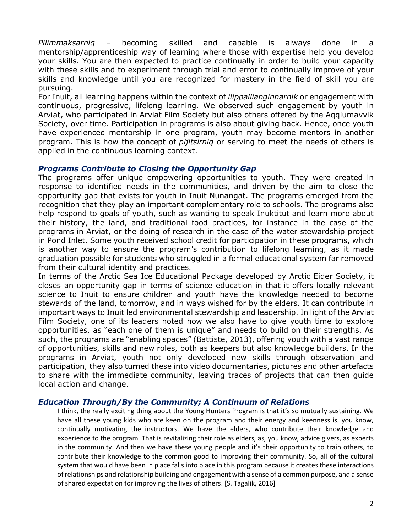*Pilimmaksarniq* – becoming skilled and capable is always done in a mentorship/apprenticeship way of learning where those with expertise help you develop your skills. You are then expected to practice continually in order to build your capacity with these skills and to experiment through trial and error to continually improve of your skills and knowledge until you are recognized for mastery in the field of skill you are pursuing.

For Inuit, all learning happens within the context of *ilippallianginnarnik* or engagement with continuous, progressive, lifelong learning. We observed such engagement by youth in Arviat, who participated in Arviat Film Society but also others offered by the Aqqiumavvik Society, over time. Participation in programs is also about giving back. Hence, once youth have experienced mentorship in one program, youth may become mentors in another program. This is how the concept of *pijitsirniq* or serving to meet the needs of others is applied in the continuous learning context.

### *Programs Contribute to Closing the Opportunity Gap*

The programs offer unique empowering opportunities to youth. They were created in response to identified needs in the communities, and driven by the aim to close the opportunity gap that exists for youth in Inuit Nunangat. The programs emerged from the recognition that they play an important complementary role to schools. The programs also help respond to goals of youth, such as wanting to speak Inuktitut and learn more about their history, the land, and traditional food practices, for instance in the case of the programs in Arviat, or the doing of research in the case of the water stewardship project in Pond Inlet. Some youth received school credit for participation in these programs, which is another way to ensure the program's contribution to lifelong learning, as it made graduation possible for students who struggled in a formal educational system far removed from their cultural identity and practices.

In terms of the Arctic Sea Ice Educational Package developed by Arctic Eider Society, it closes an opportunity gap in terms of science education in that it offers locally relevant science to Inuit to ensure children and youth have the knowledge needed to become stewards of the land, tomorrow, and in ways wished for by the elders. It can contribute in important ways to Inuit led environmental stewardship and leadership. In light of the Arviat Film Society, one of its leaders noted how we also have to give youth time to explore opportunities, as "each one of them is unique" and needs to build on their strengths. As such, the programs are "enabling spaces" (Battiste, 2013), offering youth with a vast range of opportunities, skills and new roles, both as keepers but also knowledge builders. In the programs in Arviat, youth not only developed new skills through observation and participation, they also turned these into video documentaries, pictures and other artefacts to share with the immediate community, leaving traces of projects that can then guide local action and change.

### *Education Through/By the Community; A Continuum of Relations*

I think, the really exciting thing about the Young Hunters Program is that it's so mutually sustaining. We have all these young kids who are keen on the program and their energy and keenness is, you know, continually motivating the instructors. We have the elders, who contribute their knowledge and experience to the program. That is revitalizing their role as elders, as, you know, advice givers, as experts in the community. And then we have these young people and it's their opportunity to train others, to contribute their knowledge to the common good to improving their community. So, all of the cultural system that would have been in place falls into place in this program because it creates these interactions of relationships and relationship building and engagement with a sense of a common purpose, and a sense of shared expectation for improving the lives of others. [S. Tagalik, 2016]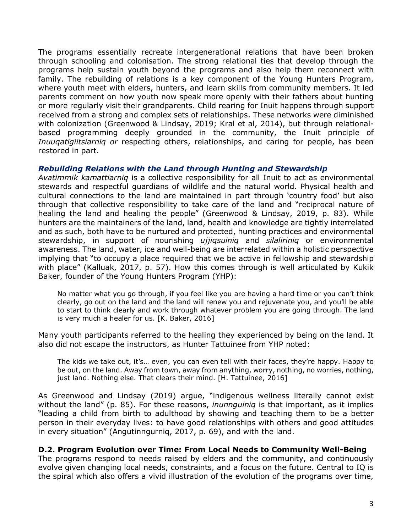The programs essentially recreate intergenerational relations that have been broken through schooling and colonisation. The strong relational ties that develop through the programs help sustain youth beyond the programs and also help them reconnect with family. The rebuilding of relations is a key component of the Young Hunters Program, where youth meet with elders, hunters, and learn skills from community members. It led parents comment on how youth now speak more openly with their fathers about hunting or more regularly visit their grandparents. Child rearing for Inuit happens through support received from a strong and complex sets of relationships. These networks were diminished with colonization (Greenwood & Lindsay, 2019; Kral et al, 2014), but through relationalbased programming deeply grounded in the community, the Inuit principle of *Inuuqatigiitsiarniq or* respecting others, relationships, and caring for people, has been restored in part.

### *Rebuilding Relations with the Land through Hunting and Stewardship*

*Avatimmik kamattiarniq* is a collective responsibility for all Inuit to act as environmental stewards and respectful guardians of wildlife and the natural world. Physical health and cultural connections to the land are maintained in part through 'country food' but also through that collective responsibility to take care of the land and "reciprocal nature of healing the land and healing the people" (Greenwood & Lindsay, 2019, p. 83). While hunters are the maintainers of the land, land, health and knowledge are tightly interrelated and as such, both have to be nurtured and protected, hunting practices and environmental stewardship, in support of nourishing *ujjiqsuiniq* and *silaliriniq* or environmental awareness. The land, water, ice and well-being are interrelated within a holistic perspective implying that "to occupy a place required that we be active in fellowship and stewardship with place" (Kalluak, 2017, p. 57). How this comes through is well articulated by Kukik Baker, founder of the Young Hunters Program (YHP):

No matter what you go through, if you feel like you are having a hard time or you can't think clearly, go out on the land and the land will renew you and rejuvenate you, and you'll be able to start to think clearly and work through whatever problem you are going through. The land is very much a healer for us. [K. Baker, 2016]

Many youth participants referred to the healing they experienced by being on the land. It also did not escape the instructors, as Hunter Tattuinee from YHP noted:

The kids we take out, it's… even, you can even tell with their faces, they're happy. Happy to be out, on the land. Away from town, away from anything, worry, nothing, no worries, nothing, just land. Nothing else. That clears their mind. [H. Tattuinee, 2016]

As Greenwood and Lindsay (2019) argue, "indigenous wellness literally cannot exist without the land" (p. 85). For these reasons, *inunnguiniq* is that important, as it implies "leading a child from birth to adulthood by showing and teaching them to be a better person in their everyday lives: to have good relationships with others and good attitudes in every situation" (Angutinngurniq, 2017, p. 69), and with the land.

### **D.2. Program Evolution over Time: From Local Needs to Community Well-Being**

The programs respond to needs raised by elders and the community, and continuously evolve given changing local needs, constraints, and a focus on the future. Central to IQ is the spiral which also offers a vivid illustration of the evolution of the programs over time,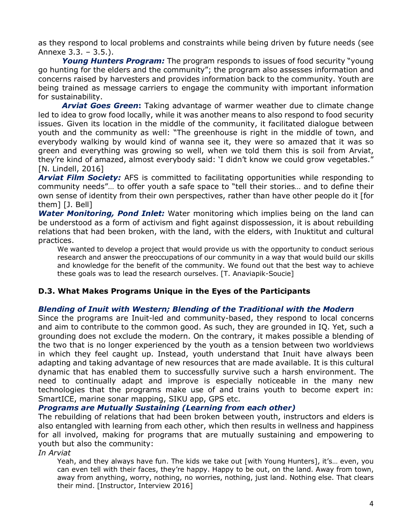as they respond to local problems and constraints while being driven by future needs (see Annexe 3.3. – 3.5.).

*Young Hunters Program:* The program responds to issues of food security "young go hunting for the elders and the community"; the program also assesses information and concerns raised by harvesters and provides information back to the community. Youth are being trained as message carriers to engage the community with important information for sustainability.

*Arviat Goes Green***:** Taking advantage of warmer weather due to climate change led to idea to grow food locally, while it was another means to also respond to food security issues. Given its location in the middle of the community, it facilitated dialogue between youth and the community as well: "The greenhouse is right in the middle of town, and everybody walking by would kind of wanna see it, they were so amazed that it was so green and everything was growing so well, when we told them this is soil from Arviat, they're kind of amazed, almost everybody said: 'I didn't know we could grow vegetables." [N. Lindell, 2016]

*Arviat Film Society:* AFS is committed to facilitating opportunities while responding to community needs"… to offer youth a safe space to "tell their stories… and to define their own sense of identity from their own perspectives, rather than have other people do it [for them] [J. Bell]

*Water Monitoring, Pond Inlet:* Water monitoring which implies being on the land can be understood as a form of activism and fight against dispossession, it is about rebuilding relations that had been broken, with the land, with the elders, with Inuktitut and cultural practices.

We wanted to develop a project that would provide us with the opportunity to conduct serious research and answer the preoccupations of our community in a way that would build our skills and knowledge for the benefit of the community. We found out that the best way to achieve these goals was to lead the research ourselves. [T. Anaviapik-Soucie]

### **D.3. What Makes Programs Unique in the Eyes of the Participants**

### *Blending of Inuit with Western; Blending of the Traditional with the Modern*

Since the programs are Inuit-led and community-based, they respond to local concerns and aim to contribute to the common good. As such, they are grounded in IQ. Yet, such a grounding does not exclude the modern. On the contrary, it makes possible a blending of the two that is no longer experienced by the youth as a tension between two worldviews in which they feel caught up. Instead, youth understand that Inuit have always been adapting and taking advantage of new resources that are made available. It is this cultural dynamic that has enabled them to successfully survive such a harsh environment. The need to continually adapt and improve is especially noticeable in the many new technologies that the programs make use of and trains youth to become expert in: SmartICE, marine sonar mapping, SIKU app, GPS etc.

### *Programs are Mutually Sustaining (Learning from each other)*

The rebuilding of relations that had been broken between youth, instructors and elders is also entangled with learning from each other, which then results in wellness and happiness for all involved, making for programs that are mutually sustaining and empowering to youth but also the community:

*In Arviat*

Yeah, and they always have fun. The kids we take out [with Young Hunters], it's… even, you can even tell with their faces, they're happy. Happy to be out, on the land. Away from town, away from anything, worry, nothing, no worries, nothing, just land. Nothing else. That clears their mind. [Instructor, Interview 2016]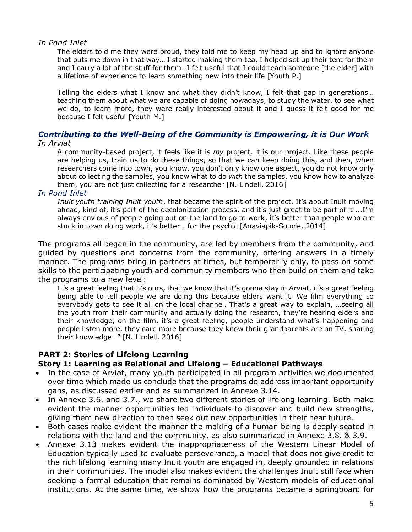### *In Pond Inlet*

The elders told me they were proud, they told me to keep my head up and to ignore anyone that puts me down in that way… I started making them tea, I helped set up their tent for them and I carry a lot of the stuff for them…I felt useful that I could teach someone [the elder] with a lifetime of experience to learn something new into their life [Youth P.]

Telling the elders what I know and what they didn't know, I felt that gap in generations… teaching them about what we are capable of doing nowadays, to study the water, to see what we do, to learn more, they were really interested about it and I guess it felt good for me because I felt useful [Youth M.]

### *Contributing to the Well-Being of the Community is Empowering, it is Our Work In Arviat*

A community-based project, it feels like it is *my* project, it is our project. Like these people are helping us, train us to do these things, so that we can keep doing this, and then, when researchers come into town, you know, you don't only know one aspect, you do not know only about collecting the samples, you know what to do *with* the samples, you know how to analyze them, you are not just collecting for a researcher [N. Lindell, 2016]

### *In Pond Inlet*

*Inuit youth training Inuit youth*, that became the spirit of the project. It's about Inuit moving ahead, kind of, it's part of the decolonization process, and it's just great to be part of it ...I'm always envious of people going out on the land to go to work, it's better than people who are stuck in town doing work, it's better… for the psychic [Anaviapik-Soucie, 2014]

The programs all began in the community, are led by members from the community, and guided by questions and concerns from the community, offering answers in a timely manner. The programs bring in partners at times, but temporarily only, to pass on some skills to the participating youth and community members who then build on them and take the programs to a new level:

It's a great feeling that it's ours, that we know that it's gonna stay in Arviat, it's a great feeling being able to tell people we are doing this because elders want it. We film everything so everybody gets to see it all on the local channel. That's a great way to explain, …seeing all the youth from their community and actually doing the research, they're hearing elders and their knowledge, on the film, it's a great feeling, people understand what's happening and people listen more, they care more because they know their grandparents are on TV, sharing their knowledge…" [N. Lindell, 2016]

### **PART 2: Stories of Lifelong Learning Story 1: Learning as Relational and Lifelong – Educational Pathways**

- In the case of Arviat, many youth participated in all program activities we documented over time which made us conclude that the programs do address important opportunity gaps, as discussed earlier and as summarized in Annexe 3.14.
- In Annexe 3.6. and 3.7., we share two different stories of lifelong learning. Both make evident the manner opportunities led individuals to discover and build new strengths, giving them new direction to then seek out new opportunities in their near future.
- Both cases make evident the manner the making of a human being is deeply seated in relations with the land and the community, as also summarized in Annexe 3.8. & 3.9.
- Annexe 3.13 makes evident the inappropriateness of the Western Linear Model of Education typically used to evaluate perseverance, a model that does not give credit to the rich lifelong learning many Inuit youth are engaged in, deeply grounded in relations in their communities. The model also makes evident the challenges Inuit still face when seeking a formal education that remains dominated by Western models of educational institutions. At the same time, we show how the programs became a springboard for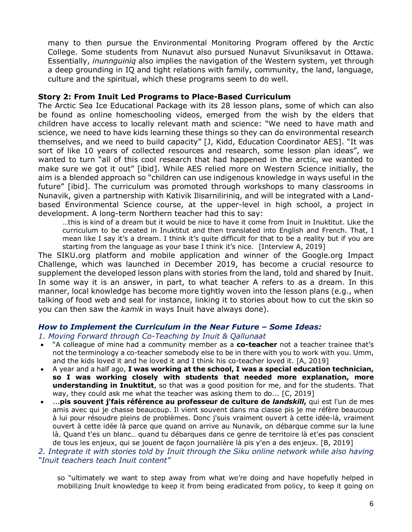many to then pursue the Environmental Monitoring Program offered by the Arctic College. Some students from Nunavut also pursued Nunavut Sivuniksavut in Ottawa. Essentially, *inunnguiniq* also implies the navigation of the Western system, yet through a deep grounding in IQ and tight relations with family, community, the land, language, culture and the spiritual, which these programs seem to do well.

### **Story 2: From Inuit Led Programs to Place-Based Curriculum**

The Arctic Sea Ice Educational Package with its 28 lesson plans, some of which can also be found as online homeschooling videos, emerged from the wish by the elders that children have access to locally relevant math and science: "We need to have math and science, we need to have kids learning these things so they can do environmental research themselves, and we need to build capacity" [J, Kidd, Education Coordinator AES]. "It was sort of like 10 years of collected resources and research, some lesson plan ideas", we wanted to turn "all of this cool research that had happened in the arctic, we wanted to make sure we got it out" [ibid]. While AES relied more on Western Science initially, the aim is a blended approach so "children can use indigenous knowledge in ways useful in the future" [ibid]. The curriculum was promoted through workshops to many classrooms in Nunavik, given a partnership with Kativik Ilisarniliriniq, and will be integrated with a Landbased Environmental Science course, at the upper-level in high school, a project in development. A long-term Northern teacher had this to say:

…this is kind of a dream but it would be nice to have it come from Inuit in Inuktitut. Like the curriculum to be created in Inuktitut and then translated into English and French. That, I mean like I say it's a dream. I think it's quite difficult for that to be a reality but if you are starting from the language as your base I think it's nice. [Interview A, 2019]

The SIKU.org platform and mobile application and winner of the Google.org Impact Challenge, which was launched in December 2019, has become a crucial resource to supplement the developed lesson plans with stories from the land, told and shared by Inuit. In some way it is an answer, in part, to what teacher A refers to as a dream. In this manner, local knowledge has become more tightly woven into the lesson plans (e.g., when talking of food web and seal for instance, linking it to stories about how to cut the skin so you can then saw the *kamik* in ways Inuit have always done).

### *How to Implement the Curriculum in the Near Future – Some Ideas:*

### *1. Moving Forward through Co-Teaching by Inuit & Qallunaat*

- "A colleague of mine had a community member as a **co-teacher** not a teacher trainee that's not the terminology a co-teacher somebody else to be in there with you to work with you. Umm, and the kids loved it and he loved it and I think his co-teacher loved it. [A, 2019]
- A year and a half ago, **I was working at the school, I was a special education technician, so I was working closely with students that needed more explanation, more understanding in Inuktitut**, so that was a good position for me, and for the students. That way, they could ask me what the teacher was asking them to do... [C, 2019]
- ...**pis souvent j'fais référence au professeur de culture de** *landskill***,** qui est l'un de mes amis avec qui je chasse beaucoup. Il vient souvent dans ma classe pis je me réfère beaucoup à lui pour résoudre pleins de problèmes. Donc j'suis vraiment ouvert à cette idée-là, vraiment ouvert à cette idée là parce que quand on arrive au Nunavik, on débarque comme sur la lune là. Quand t'es un blanc… quand tu débarques dans ce genre de territoire là et'es pas conscient de tous les enjeux, qui se jouent de façon journalière là pis y'en a des enjeux. [B, 2019]

### *2. Integrate it with stories told by Inuit through the Siku online network while also having "Inuit teachers teach Inuit content"*

so "ultimately we want to step away from what we're doing and have hopefully helped in mobilizing Inuit knowledge to keep it from being eradicated from policy, to keep it going on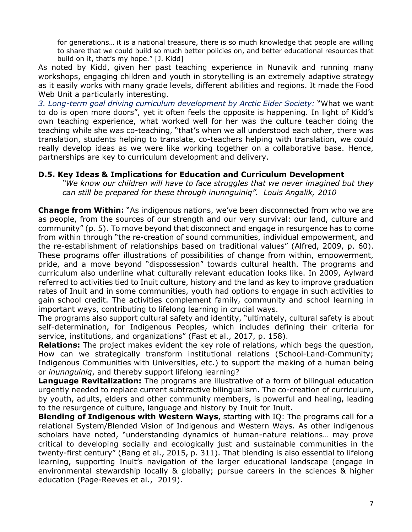for generations… it is a national treasure, there is so much knowledge that people are willing to share that we could build so much better policies on, and better educational resources that build on it, that's my hope." [J. Kidd]

As noted by Kidd, given her past teaching experience in Nunavik and running many workshops, engaging children and youth in storytelling is an extremely adaptive strategy as it easily works with many grade levels, different abilities and regions. It made the Food Web Unit a particularly interesting.

*3. Long-term goal driving curriculum development by Arctic Eider Society:* "What we want to do is open more doors", yet it often feels the opposite is happening. In light of Kidd's own teaching experience, what worked well for her was the culture teacher doing the teaching while she was co-teaching, "that's when we all understood each other, there was translation, students helping to translate, co-teachers helping with translation, we could really develop ideas as we were like working together on a collaborative base. Hence, partnerships are key to curriculum development and delivery.

### **D.5. Key Ideas & Implications for Education and Curriculum Development**

*"We know our children will have to face struggles that we never imagined but they can still be prepared for these through inunnguiniq". Louis Angalik, 2010*

**Change from Within:** "As indigenous nations, we've been disconnected from who we are as people, from the sources of our strength and our very survival: our land, culture and community" (p. 5). To move beyond that disconnect and engage in resurgence has to come from within through "the re-creation of sound communities, individual empowerment, and the re-establishment of relationships based on traditional values" (Alfred, 2009, p. 60). These programs offer illustrations of possibilities of change from within, empowerment, pride, and a move beyond "dispossession" towards cultural health. The programs and curriculum also underline what culturally relevant education looks like. In 2009, Aylward referred to activities tied to Inuit culture, history and the land as key to improve graduation rates of Inuit and in some communities, youth had options to engage in such activities to gain school credit. The activities complement family, community and school learning in important ways, contributing to lifelong learning in crucial ways.

The programs also support cultural safety and identity, "ultimately, cultural safety is about self-determination, for Indigenous Peoples, which includes defining their criteria for service, institutions, and organizations" (Fast et al., 2017, p. 158).

**Relations:** The project makes evident the key role of relations, which begs the question, How can we strategically transform institutional relations (School-Land-Community; Indigenous Communities with Universities, etc.) to support the making of a human being or *inunnguiniq*, and thereby support lifelong learning?

**Language Revitalization:** The programs are illustrative of a form of bilingual education urgently needed to replace current subtractive bilingualism. The co-creation of curriculum, by youth, adults, elders and other community members, is powerful and healing, leading to the resurgence of culture, language and history by Inuit for Inuit.

**Blending of Indigenous with Western Ways**, starting with IQ: The programs call for a relational System/Blended Vision of Indigenous and Western Ways. As other indigenous scholars have noted, "understanding dynamics of human-nature relations… may prove critical to developing socially and ecologically just and sustainable communities in the twenty-first century" (Bang et al., 2015, p. 311). That blending is also essential to lifelong learning, supporting Inuit's navigation of the larger educational landscape (engage in environmental stewardship locally & globally; pursue careers in the sciences & higher education (Page-Reeves et al., 2019).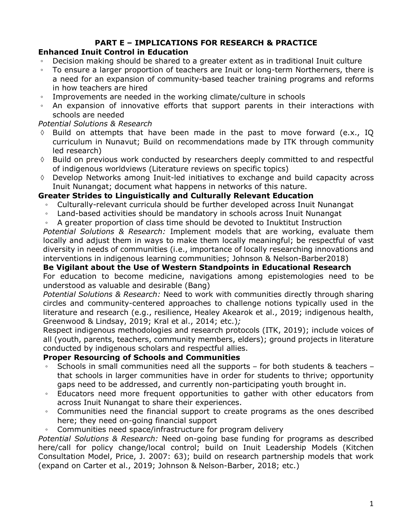# **PART E – IMPLICATIONS FOR RESEARCH & PRACTICE**

# **Enhanced Inuit Control in Education**

- Decision making should be shared to a greater extent as in traditional Inuit culture
- To ensure a larger proportion of teachers are Inuit or long-term Northerners, there is a need for an expansion of community-based teacher training programs and reforms in how teachers are hired
- Improvements are needed in the working climate/culture in schools
- An expansion of innovative efforts that support parents in their interactions with schools are needed

# *Potential Solutions & Research*

- $\Diamond$  Build on attempts that have been made in the past to move forward (e.x., IQ curriculum in Nunavut; Build on recommendations made by ITK through community led research)
- $\Diamond$  Build on previous work conducted by researchers deeply committed to and respectful of indigenous worldviews (Literature reviews on specific topics)
- $\Diamond$  Develop Networks among Inuit-led initiatives to exchange and build capacity across Inuit Nunangat; document what happens in networks of this nature.

# **Greater Strides to Linguistically and Culturally Relevant Education**

- Culturally-relevant curricula should be further developed across Inuit Nunangat
- Land-based activities should be mandatory in schools across Inuit Nunangat
- A greater proportion of class time should be devoted to Inuktitut Instruction

*Potential Solutions & Research:* Implement models that are working, evaluate them locally and adjust them in ways to make them locally meaningful; be respectful of vast diversity in needs of communities (i.e., importance of locally researching innovations and interventions in indigenous learning communities; Johnson & Nelson-Barber2018)

**Be Vigilant about the Use of Western Standpoints in Educational Research**  For education to become medicine, navigations among epistemologies need to be understood as valuable and desirable (Bang)

*Potential Solutions & Research:* Need to work with communities directly through sharing circles and community-centered approaches to challenge notions typically used in the literature and research (e.g., resilience, Healey Akearok et al., 2019; indigenous health, Greenwood & Lindsay, 2019; Kral et al., 2014; etc.)*;* 

Respect indigenous methodologies and research protocols (ITK, 2019); include voices of all (youth, parents, teachers, community members, elders); ground projects in literature conducted by indigenous scholars and respectful allies.

# **Proper Resourcing of Schools and Communities**

- Schools in small communities need all the supports for both students  $&$  teachers that schools in larger communities have in order for students to thrive; opportunity gaps need to be addressed, and currently non-participating youth brought in.
- Educators need more frequent opportunities to gather with other educators from across Inuit Nunangat to share their experiences.
- Communities need the financial support to create programs as the ones described here; they need on-going financial support
- Communities need space/infrastructure for program delivery

*Potential Solutions & Research:* Need on-going base funding for programs as described here/call for policy change/local control; build on Inuit Leadership Models (Kitchen Consultation Model, Price, J. 2007: 63); build on research partnership models that work (expand on Carter et al., 2019; Johnson & Nelson-Barber, 2018; etc.)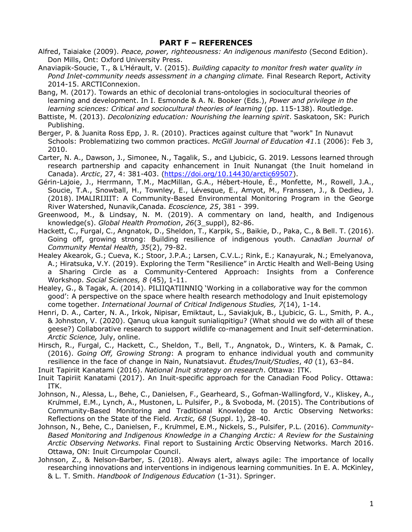#### **PART F – REFERENCES**

- Alfred, Taiaiake (2009). *Peace, power, righteousness: An indigenous manifesto* (Second Edition). Don Mills, Ont: Oxford University Press.
- Anaviapik-Soucie, T., & L'Hérault, V. (2015). *Building capacity to monitor fresh water quality in Pond Inlet-community needs assessment in a changing climate.* Final Research Report, Activity 2014-15. ARCTIConnexion.
- Bang, M. (2017). Towards an ethic of decolonial trans-ontologies in sociocultural theories of learning and development. In I. Esmonde & A. N. Booker (Eds.), *Power and privilege in the learning sciences: Critical and sociocultural theories of learning* (pp. 115-138). Routledge.
- Battiste, M. (2013). *Decolonizing education: Nourishing the learning spirit*. Saskatoon, SK: Purich Publishing.
- Berger, P. & Juanita Ross Epp, J. R. (2010). Practices against culture that "work" In Nunavut Schools: Problematizing two common practices. *McGill Journal of Education 41*.1 (2006): Feb 3, 2010.
- Carter, N. A., Dawson, J., Simonee, N., Tagalik, S., and Ljubicic, G. 2019. Lessons learned through research partnership and capacity enhancement in Inuit Nunangat (the Inuit homeland in Canada). *Arctic*, 27, 4: 381-403. (https://doi.org/10.14430/arctic69507).
- Gérin-Lajoie, J., Herrmann, T.M., MacMillan, G.A., Hébert-Houle, É., Monfette, M., Rowell, J.A., Soucie, T.A., Snowball, H., Townley, E., Lévesque, E., Amyot, M., Franssen, J., & Dedieu, J. (2018). IMALIRIJIIT: A Community-Based Environmental Monitoring Program in the George River Watershed, Nunavik,Canada. *Ecoscience, 25*, 381 - 399.
- Greenwood, M., & Lindsay, N. M. (2019). A commentary on land, health, and Indigenous knowledge(s). *Global Health Promotion*, *26*(3\_suppl), 82-86.
- Hackett, C., Furgal, C., Angnatok, D., Sheldon, T., Karpik, S., Baikie, D., Paka, C., & Bell. T. (2016). Going off, growing strong: Building resilience of indigenous youth. *Canadian Journal of Community Mental Health, 35*(2), 79-82.
- Healey Akearok, G.; Cueva, K.; Stoor, J.P.A.; Larsen, C.V.L.; Rink, E.; Kanayurak, N.; Emelyanova, A.; Hiratsuka, V.Y. (2019). Exploring the Term "Resilience" in Arctic Health and Well-Being Using a Sharing Circle as a Community-Centered Approach: Insights from a Conference Workshop. *Social Sciences, 8* (45), 1-11.
- Healey, G., & Tagak, A. (2014). PILIIQATIINNIQ 'Working in a collaborative way for the common good': A perspective on the space where health research methodology and Inuit epistemology come together. *International Journal of Critical Indigenous Studies, 7*(14), 1-14.
- Henri, D. A., Carter, N. A., Irkok, Nipisar, Emiktaut, L., Saviakjuk, B., Ljubicic, G. L., Smith, P. A., & Johnston, V. (2020). Qanuq ukua kanguit sunialiqpitigu? (What should we do with all of these geese?) Collaborative research to support wildlife co-management and Inuit self-determination. *Arctic Science,* July, online.
- Hirsch, R., Furgal, C., Hackett, C., Sheldon, T., Bell, T., Angnatok, D., Winters, K. & Pamak, C. (2016). *Going Off, Growing Strong*: A program to enhance individual youth and community resilience in the face of change in Nain, Nunatsiavut. *Études/Inuit/Studies*, *40* (1), 63–84.
- Inuit Tapiriit Kanatami (2016). *National Inuit strategy on research*. Ottawa: ITK.
- Inuit Tapiriit Kanatami (2017). An Inuit-specific approach for the Canadian Food Policy. Ottawa: ITK.
- Johnson, N., Alessa, L., Behe, C., Danielsen, F., Gearheard, S., Gofman-Wallingford, V., Kliskey, A., Krümmel, E.M., Lynch, A., Mustonen, L. Pulsifer, P., & Svoboda, M. (2015). The Contributions of Community-Based Monitoring and Traditional Knowledge to Arctic Observing Networks: Reflections on the State of the Field. *Arctic, 68* (Suppl. 1), 28-40.
- Johnson, N., Behe, C., Danielsen, F., Krümmel, E.M., Nickels, S., Pulsifer, P.L. (2016). *Community-Based Monitoring and Indigenous Knowledge in a Changing Arctic: A Review for the Sustaining Arctic Observing Networks.* Final report to Sustaining Arctic Observing Networks. March 2016. Ottawa, ON: Inuit Circumpolar Council.
- Johnson, Z., & Nelson-Barber, S. (2018). Always alert, always agile: The importance of locally researching innovations and interventions in indigenous learning communities. In E. A. McKinley, & L. T. Smith. *Handbook of Indigenous Education* (1-31). Springer.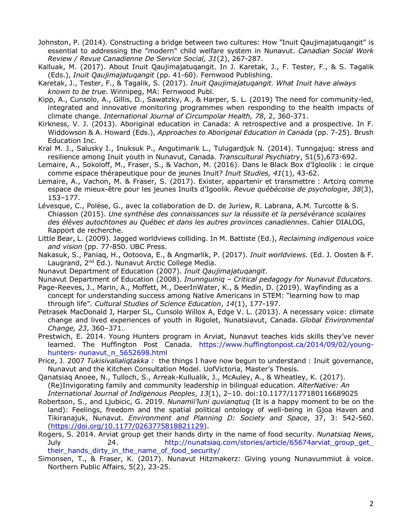- Johnston, P. (2014). Constructing a bridge between two cultures: How "Inuit Qaujimajatuqangit" is essential to addressing the "modern" child welfare system in Nunavut. *Canadian Social Work Review / Revue Canadienne De Service Social, 31*(2), 267-287.
- Kalluak, M. (2017). About Inuit Qaujimajatuqangit. In J. Karetak, J., F. Tester, F., & S. Tagalik (Eds.), *Inuit Qaujimajatuqangit* (pp. 41-60). Fernwood Publishing.
- Karetak, J., Tester, F., & Tagalik, S. (2017). *Inuit Qaujimajatuqangit. What Inuit have always known to be true*. Winnipeg, MA: Fernwood Publ.
- Kipp, A., Cunsolo, A., Gillis, D., Sawatzky, A., & Harper, S. L. (2019) The need for community-led, integrated and innovative monitoring programmes when responding to the health impacts of climate change. *International Journal of Circumpolar Health, 78*, 2, 360-371.
- Kirkness, V. J. (2013). Aboriginal education in Canada: A retrospective and a prospective. In F. Widdowson & A. Howard (Eds.), *Approaches to Aboriginal Education in Canada* (pp. 7-25). Brush Education Inc.
- Kral M. J., Salusky I., Inuksuk P., Angutimarik L., Tulugardjuk N. (2014). Tunngajuq: stress and resilience among Inuit youth in Nunavut, Canada. *Transcultural Psychiatry*, 51(5),673-692.
- Lemaire, A., Sokoloff, M., Fraser, S., & Vachon, M. (2016). Dans le Black Box d'Igloolik : le cirque comme espace thérapeutique pour de jeunes Inuit? *Inuit Studies, 41*(1), 43-62.
- Lemaire, A., Vachon, M. & Fraser, S. (2017). Exister, appartenir et transmettre : Artcirq comme espace de mieux-être pour les jeunes Inuits d'Igoolik. *Revue québécoise de psychologie*, *38*(3), 153–177.
- Lévesque, C., Polèse, G., avec la collaboration de D. de Juriew, R. Labrana, A.M. Turcotte & S. Chiasson (2015). *Une synthèse des connaissances sur la réussite et la persévérance scolaires des élèves autochtones au Québec et dans les autres provinces canadiennes*. Cahier DIALOG, Rapport de recherche.
- Little Bear, L. (2009). Jagged worldviews colliding. In M. Battiste (Ed.), *Reclaiming indigenous voice and vision* (pp. 77-850. UBC Press.
- Nakasuk, S., Paniaq, H., Ootoova, E., & Angmarlik, P. (2017). *Inuit worldviews.* (Ed. J. Oosten & F. Laugrand, 2<sup>nd</sup> Ed.). Nunavut Arctic College Media.
- Nunavut Department of Education (2007). *Inuit Qaujimajatuqangit*.

Nunavut Department of Education (2008). *Inunnguiniq – Critical pedagogy for Nunavut Educators.* 

- Page-Reeves, J., Marin, A., Moffett, M., DeerInWater, K., & Medin, D. (2019). Wayfinding as a concept for understanding success among Native Americans in STEM: "learning how to map through life". *Cultural Studies of Science Education*, *14*(1), 177-197.
- Petrasek MacDonald J, Harper SL, Cunsolo Willox A, Edge V. L. (2013). A necessary voice: climate change and lived experiences of youth in Rigolet, Nunatsiavut, Canada. *Global Environmental Change, 23*, 360–371.
- Prestwich, E. 2014. Young Hunters program in Arviat, Nunavut teaches kids skills they've never learned. The Huffington Post Canada. https://www.huffingtonpost.ca/2014/09/02/younghunters- nunavut\_n\_5652698.html
- Price, J. 2007 *Tukisivalialiqtakka :* the things I have now begun to understand : Inuit governance, Nunavut and the Kitchen Consultation Model. UofVictoria, Master's Thesis.
- Qanatsiaq Anoee, N., Tulloch, S., Arreak-Kullualik, J., McAuley, A., & Wheatley, K. (2017). (Re)Invigorating family and community leadership in bilingual education. *AlterNative: An International Journal of Indigenous Peoples*, *13*(1), 2–10. doi:10.1177/1177180116689025
- Robertson, S., and Ljubicic, G. 2019. *Nunamii'luni quvianqtuq* (It is a happy moment to be on the land): Feelings, freedom and the spatial political ontology of well-being in Gjoa Haven and Tikiranajuk, Nunavut. *Environment and Planning D: Society and Space*, 37, 3: 542-560. (https://doi.org/10.1177/0263775818821129).
- Rogers, S. 2014. Arviat group get their hands dirty in the name of food security. *Nunatsiaq News*, July 24. http://nunatsiaq.com/stories/article/65674arviat\_group\_get\_ their\_hands\_dirty\_in\_the\_name\_of\_food\_security/
- Simonsen, T., & Fraser, K. (2017). Nunavut Hitzmakerz: Giving young Nunavummiut à voice. Northern Public Affairs, 5(2), 23-25.